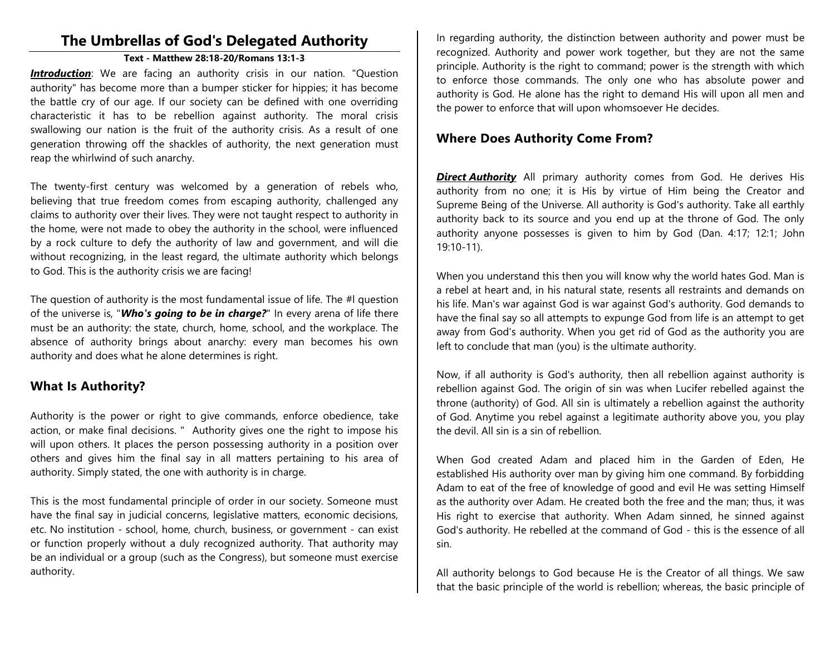# **The Umbrellas of God's Delegated Authority**

#### **Text - Matthew 28:18-20/Romans 13:1-3**

**Introduction**: We are facing an authority crisis in our nation. "Question authority" has become more than a bumper sticker for hippies; it has become the battle cry of our age. If our society can be defined with one overriding characteristic it has to be rebellion against authority. The moral crisis swallowing our nation is the fruit of the authority crisis. As a result of one generation throwing off the shackles of authority, the next generation must reap the whirlwind of such anarchy.

The twenty-first century was welcomed by a generation of rebels who, believing that true freedom comes from escaping authority, challenged any claims to authority over their lives. They were not taught respect to authority in the home, were not made to obey the authority in the school, were influenced by a rock culture to defy the authority of law and government, and will die without recognizing, in the least regard, the ultimate authority which belongs to God. This is the authority crisis we are facing!

The question of authority is the most fundamental issue of life. The #l question of the universe is, "*Who's going to be in charge?*" In every arena of life there must be an authority: the state, church, home, school, and the workplace. The absence of authority brings about anarchy: every man becomes his own authority and does what he alone determines is right.

## **What Is Authority?**

Authority is the power or right to give commands, enforce obedience, take action, or make final decisions. " Authority gives one the right to impose his will upon others. It places the person possessing authority in a position over others and gives him the final say in all matters pertaining to his area of authority. Simply stated, the one with authority is in charge.

This is the most fundamental principle of order in our society. Someone must have the final say in judicial concerns, legislative matters, economic decisions, etc. No institution - school, home, church, business, or government - can exist or function properly without a duly recognized authority. That authority may be an individual or a group (such as the Congress), but someone must exercise authority.

In regarding authority, the distinction between authority and power must be recognized. Authority and power work together, but they are not the same principle. Authority is the right to command; power is the strength with which to enforce those commands. The only one who has absolute power and authority is God. He alone has the right to demand His will upon all men and the power to enforce that will upon whomsoever He decides.

## **Where Does Authority Come From?**

*Direct Authority* All primary authority comes from God. He derives His authority from no one; it is His by virtue of Him being the Creator and Supreme Being of the Universe. All authority is God's authority. Take all earthly authority back to its source and you end up at the throne of God. The only authority anyone possesses is given to him by God (Dan. 4:17; 12:1; John 19:10-11).

When you understand this then you will know why the world hates God. Man is a rebel at heart and, in his natural state, resents all restraints and demands on his life. Man's war against God is war against God's authority. God demands to have the final say so all attempts to expunge God from life is an attempt to get away from God's authority. When you get rid of God as the authority you are left to conclude that man (you) is the ultimate authority.

Now, if all authority is God's authority, then all rebellion against authority is rebellion against God. The origin of sin was when Lucifer rebelled against the throne (authority) of God. All sin is ultimately a rebellion against the authority of God. Anytime you rebel against a legitimate authority above you, you play the devil. All sin is a sin of rebellion.

When God created Adam and placed him in the Garden of Eden, He established His authority over man by giving him one command. By forbidding Adam to eat of the free of knowledge of good and evil He was setting Himself as the authority over Adam. He created both the free and the man; thus, it was His right to exercise that authority. When Adam sinned, he sinned against God's authority. He rebelled at the command of God - this is the essence of all sin.

All authority belongs to God because He is the Creator of all things. We saw that the basic principle of the world is rebellion; whereas, the basic principle of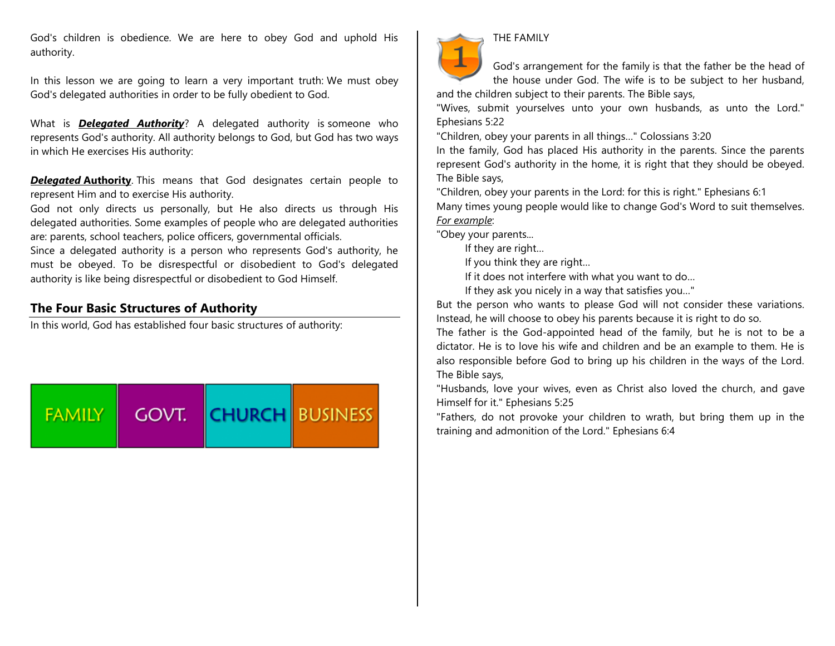God's children is obedience. We are here to obey God and uphold His authority.

In this lesson we are going to learn a very important truth: We must obey God's delegated authorities in order to be fully obedient to God.

What is *Delegated Authority*? A delegated authority is someone who represents God's authority. All authority belongs to God, but God has two ways in which He exercises His authority:

**Delegated Authority**. This means that God designates certain people to represent Him and to exercise His authority.

God not only directs us personally, but He also directs us through His delegated authorities. Some examples of people who are delegated authorities are: parents, school teachers, police officers, governmental officials.

Since a delegated authority is a person who represents God's authority, he must be obeyed. To be disrespectful or disobedient to God's delegated authority is like being disrespectful or disobedient to God Himself.

## **The Four Basic Structures of Authority**

In this world, God has established four basic structures of authority:





#### THE FAMILY

God's arrangement for the family is that the father be the head of the house under God. The wife is to be subject to her husband, and the children subject to their parents. The Bible says,

"Wives, submit yourselves unto your own husbands, as unto the Lord." Ephesians 5:22

"Children, obey your parents in all things…" Colossians 3:20

In the family, God has placed His authority in the parents. Since the parents represent God's authority in the home, it is right that they should be obeyed. The Bible says,

"Children, obey your parents in the Lord: for this is right." Ephesians 6:1 Many times young people would like to change God's Word to suit themselves. *For example*:

"Obey your parents...

If they are right…

If you think they are right…

If it does not interfere with what you want to do…

If they ask you nicely in a way that satisfies you…"

But the person who wants to please God will not consider these variations. Instead, he will choose to obey his parents because it is right to do so.

The father is the God-appointed head of the family, but he is not to be a dictator. He is to love his wife and children and be an example to them. He is also responsible before God to bring up his children in the ways of the Lord. The Bible says,

"Husbands, love your wives, even as Christ also loved the church, and gave Himself for it." Ephesians 5:25

"Fathers, do not provoke your children to wrath, but bring them up in the training and admonition of the Lord." Ephesians 6:4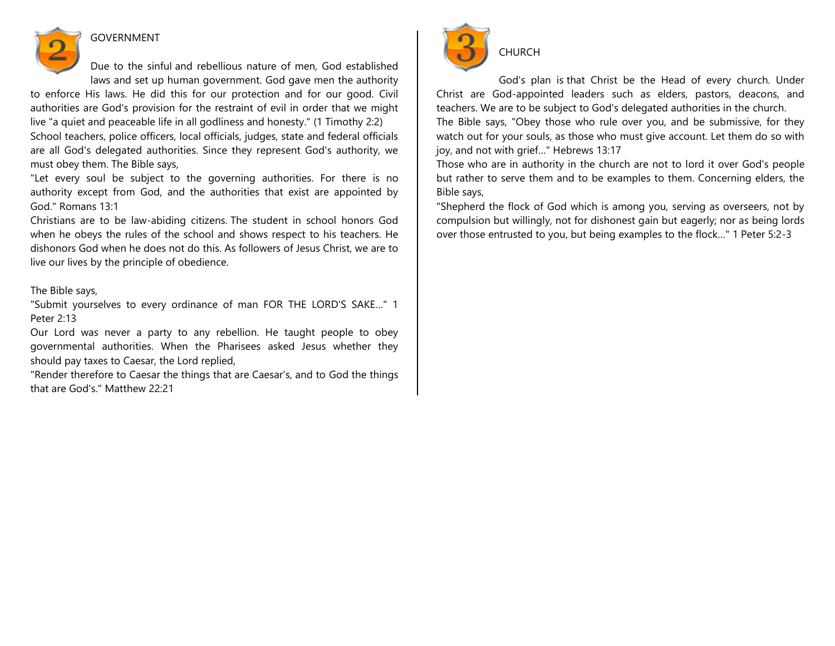

## GOVERNMENT

Due to the sinful and rebellious nature of men, God established laws and set up human government. God gave men the authority

to enforce His laws. He did this for our protection and for our good. Civil authorities are God's provision for the restraint of evil in order that we might live "a quiet and peaceable life in all godliness and honesty." (1 Timothy 2:2)

School teachers, police officers, local officials, judges, state and federal officials are all God's delegated authorities. Since they represent God's authority, we must obey them. The Bible says,

"Let every soul be subject to the governing authorities. For there is no authority except from God, and the authorities that exist are appointed by God." Romans 13:1

Christians are to be law-abiding citizens. The student in school honors God when he obeys the rules of the school and shows respect to his teachers. He dishonors God when he does not do this. As followers of Jesus Christ, we are to live our lives by the principle of obedience.

### The Bible says,

"Submit yourselves to every ordinance of man FOR THE LORD'S SAKE…" 1 Peter 2:13

Our Lord was never a party to any rebellion. He taught people to obey governmental authorities. When the Pharisees asked Jesus whether they should pay taxes to Caesar, the Lord replied,

"Render therefore to Caesar the things that are Caesar's, and to God the things that are God's." Matthew 22:21



God's plan is that Christ be the Head of every church. Under Christ are God-appointed leaders such as elders, pastors, deacons, and teachers. We are to be subject to God's delegated authorities in the church.

The Bible says, "Obey those who rule over you, and be submissive, for they watch out for your souls, as those who must give account. Let them do so with joy, and not with grief…" Hebrews 13:17

Those who are in authority in the church are not to lord it over God's people but rather to serve them and to be examples to them. Concerning elders, the Bible says,

"Shepherd the flock of God which is among you, serving as overseers, not by compulsion but willingly, not for dishonest gain but eagerly; nor as being lords over those entrusted to you, but being examples to the flock…" 1 Peter 5:2-3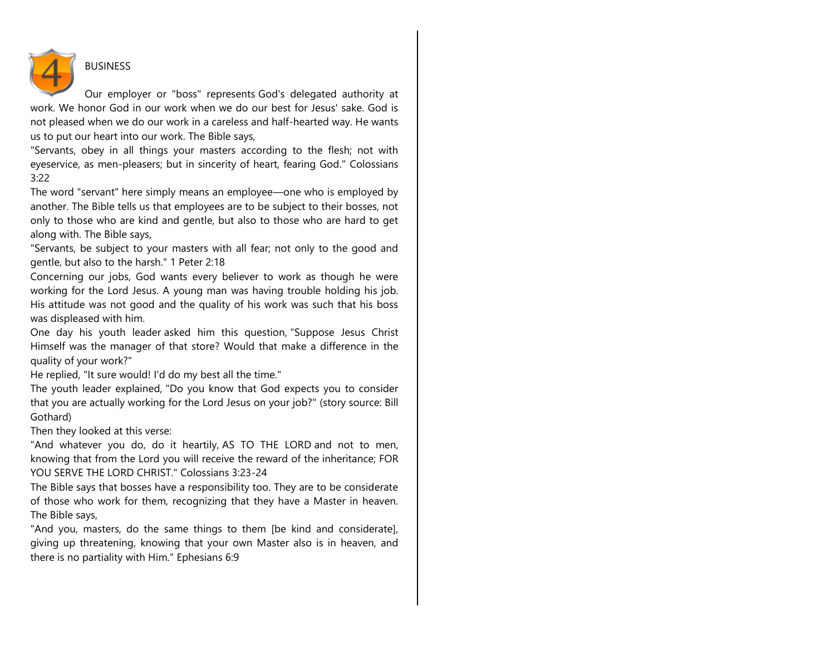

## BUSINESS

Our employer or "boss" represents God's delegated authority at work. We honor God in our work when we do our best for Jesus' sake. God is not pleased when we do our work in a careless and half-hearted way. He wants us to put our heart into our work. The Bible says,

"Servants, obey in all things your masters according to the flesh; not with eyeservice, as men-pleasers; but in sincerity of heart, fearing God." Colossians 3:22

The word "servant" here simply means an employee—one who is employed by another. The Bible tells us that employees are to be subject to their bosses, not only to those who are kind and gentle, but also to those who are hard to get along with. The Bible says,

"Servants, be subject to your masters with all fear; not only to the good and gentle, but also to the harsh." 1 Peter 2:18

Concerning our jobs, God wants every believer to work as though he were working for the Lord Jesus. A young man was having trouble holding his job. His attitude was not good and the quality of his work was such that his boss was displeased with him.

One day his youth leader asked him this question, "Suppose Jesus Christ Himself was the manager of that store? Would that make a difference in the quality of your work?"

He replied, "It sure would! I'd do my best all the time."

The youth leader explained, "Do you know that God expects you to consider that you are actually working for the Lord Jesus on your job?" (story source: Bill Gothard)

Then they looked at this verse:

"And whatever you do, do it heartily, AS TO THE LORD and not to men, knowing that from the Lord you will receive the reward of the inheritance; FOR YOU SERVE THE LORD CHRIST." Colossians 3:23-24

The Bible says that bosses have a responsibility too. They are to be considerate of those who work for them, recognizing that they have a Master in heaven. The Bible says,

"And you, masters, do the same things to them [be kind and considerate], giving up threatening, knowing that your own Master also is in heaven, and there is no partiality with Him." Ephesians 6:9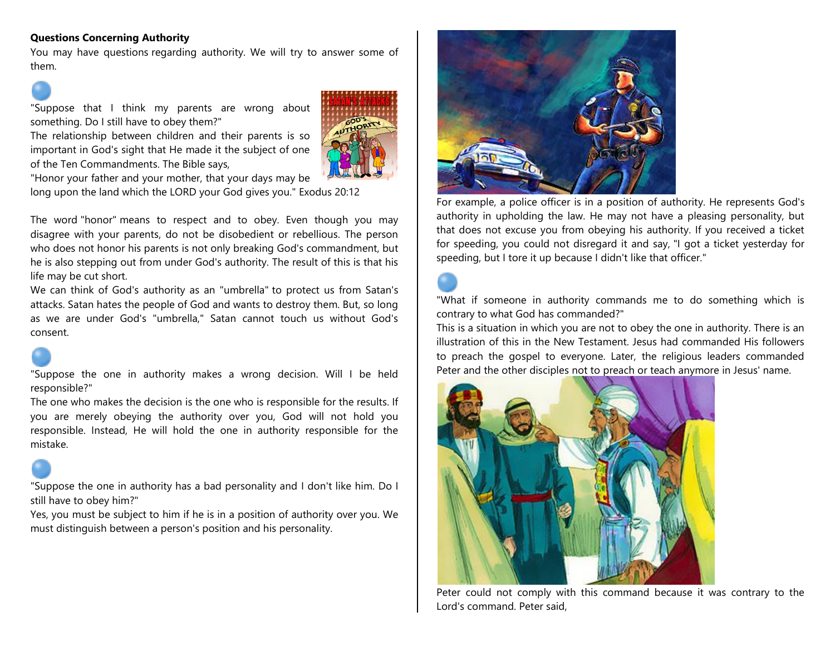### **Questions Concerning Authority**

You may have questions regarding authority. We will try to answer some of them.

"Suppose that I think my parents are wrong about something. Do I still have to obey them?"

The relationship between children and their parents is so important in God's sight that He made it the subject of one of the Ten Commandments. The Bible says,



"Honor your father and your mother, that your days may be

long upon the land which the LORD your God gives you." Exodus 20:12

The word "honor" means to respect and to obey. Even though you may disagree with your parents, do not be disobedient or rebellious. The person who does not honor his parents is not only breaking God's commandment, but he is also stepping out from under God's authority. The result of this is that his life may be cut short.

We can think of God's authority as an "umbrella" to protect us from Satan's attacks. Satan hates the people of God and wants to destroy them. But, so long as we are under God's "umbrella," Satan cannot touch us without God's consent.

"Suppose the one in authority makes a wrong decision. Will I be held responsible?"

The one who makes the decision is the one who is responsible for the results. If you are merely obeying the authority over you, God will not hold you responsible. Instead, He will hold the one in authority responsible for the mistake.

"Suppose the one in authority has a bad personality and I don't like him. Do I still have to obey him?"

Yes, you must be subject to him if he is in a position of authority over you. We must distinguish between a person's position and his personality.



For example, a police officer is in a position of authority. He represents God's authority in upholding the law. He may not have a pleasing personality, but that does not excuse you from obeying his authority. If you received a ticket for speeding, you could not disregard it and say, "I got a ticket yesterday for speeding, but I tore it up because I didn't like that officer."

"What if someone in authority commands me to do something which is contrary to what God has commanded?"

This is a situation in which you are not to obey the one in authority. There is an illustration of this in the New Testament. Jesus had commanded His followers to preach the gospel to everyone. Later, the religious leaders commanded Peter and the other disciples not to preach or teach anymore in Jesus' name.



Peter could not comply with this command because it was contrary to the Lord's command. Peter said,